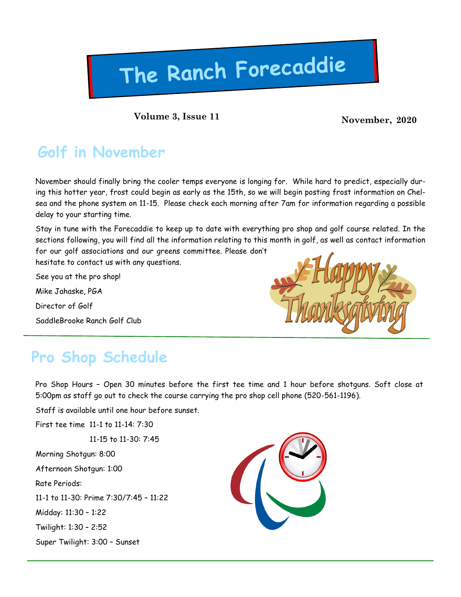# The Ranch Forecaddie

**Volume 3, Issue 11 November, 2020** 

### **Golf in November**

November should finally bring the cooler temps everyone is longing for. While hard to predict, especially during this hotter year, frost could begin as early as the 15th, so we will begin posting frost information on Chelsea and the phone system on 11-15. Please check each morning after 7am for information regarding a possible delay to your starting time.

Stay in tune with the Forecaddie to keep up to date with everything pro shop and golf course related. In the sections following, you will find all the information relating to this month in golf, as well as contact information for our golf associations and our greens committee. Please don't

hesitate to contact us with any questions.

See you at the pro shop!

Mike Jahaske, PGA

Director of Golf

SaddleBrooke Ranch Golf Club



### **Pro Shop Schedule**

Pro Shop Hours – Open 30 minutes before the first tee time and 1 hour before shotguns. Soft close at 5:00pm as staff go out to check the course carrying the pro shop cell phone (520-561-1196).

Staff is available until one hour before sunset.

First tee time 11-1 to 11-14: 7:30

11-15 to 11-30: 7:45

Morning Shotgun: 8:00

Afternoon Shotgun: 1:00

Rate Periods:

11-1 to 11-30: Prime 7:30/7:45 – 11:22

Midday: 11:30 – 1:22

Twilight: 1:30 – 2:52

Super Twilight: 3:00 – Sunset

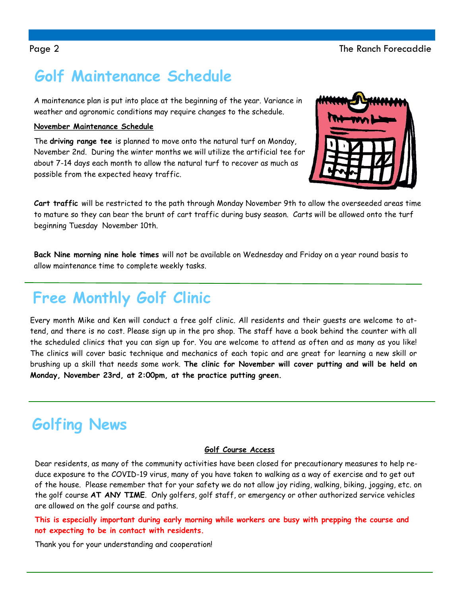### **Golf Maintenance Schedule**

A maintenance plan is put into place at the beginning of the year. Variance in weather and agronomic conditions may require changes to the schedule.

#### **November Maintenance Schedule**

The **driving range tee** is planned to move onto the natural turf on Monday, November 2nd. During the winter months we will utilize the artificial tee for about 7-14 days each month to allow the natural turf to recover as much as possible from the expected heavy traffic.



**Cart traffic** will be restricted to the path through Monday November 9th to allow the overseeded areas time to mature so they can bear the brunt of cart traffic during busy season. Carts will be allowed onto the turf beginning Tuesday November 10th.

**Back Nine morning nine hole times** will not be available on Wednesday and Friday on a year round basis to allow maintenance time to complete weekly tasks.

### **Free Monthly Golf Clinic**

Every month Mike and Ken will conduct a free golf clinic. All residents and their guests are welcome to attend, and there is no cost. Please sign up in the pro shop. The staff have a book behind the counter with all the scheduled clinics that you can sign up for. You are welcome to attend as often and as many as you like! The clinics will cover basic technique and mechanics of each topic and are great for learning a new skill or brushing up a skill that needs some work. **The clinic for November will cover putting and will be held on Monday, November 23rd, at 2:00pm, at the practice putting green.** 

### **Golfing News**

#### **Golf Course Access**

Dear residents, as many of the community activities have been closed for precautionary measures to help reduce exposure to the COVID-19 virus, many of you have taken to walking as a way of exercise and to get out of the house. Please remember that for your safety we do not allow joy riding, walking, biking, jogging, etc. on the golf course **AT ANY TIME**. Only golfers, golf staff, or emergency or other authorized service vehicles are allowed on the golf course and paths.

**This is especially important during early morning while workers are busy with prepping the course and not expecting to be in contact with residents.**

Thank you for your understanding and cooperation!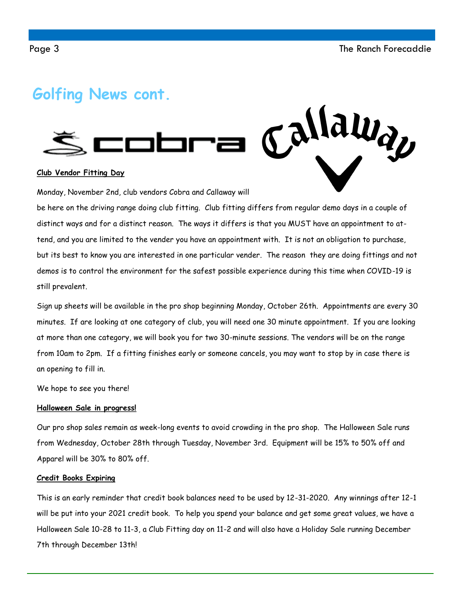Callaway

### **Golfing News cont.**



#### **Club Vendor Fitting Day**

Monday, November 2nd, club vendors Cobra and Callaway will

be here on the driving range doing club fitting. Club fitting differs from regular demo days in a couple of distinct ways and for a distinct reason. The ways it differs is that you MUST have an appointment to attend, and you are limited to the vender you have an appointment with. It is not an obligation to purchase, but its best to know you are interested in one particular vender. The reason they are doing fittings and not demos is to control the environment for the safest possible experience during this time when COVID-19 is still prevalent.

Sign up sheets will be available in the pro shop beginning Monday, October 26th. Appointments are every 30 minutes. If are looking at one category of club, you will need one 30 minute appointment. If you are looking at more than one category, we will book you for two 30-minute sessions. The vendors will be on the range from 10am to 2pm. If a fitting finishes early or someone cancels, you may want to stop by in case there is an opening to fill in.

We hope to see you there!

#### **Halloween Sale in progress!**

Our pro shop sales remain as week-long events to avoid crowding in the pro shop. The Halloween Sale runs from Wednesday, October 28th through Tuesday, November 3rd. Equipment will be 15% to 50% off and Apparel will be 30% to 80% off.

#### **Credit Books Expiring**

This is an early reminder that credit book balances need to be used by 12-31-2020. Any winnings after 12-1 will be put into your 2021 credit book. To help you spend your balance and get some great values, we have a Halloween Sale 10-28 to 11-3, a Club Fitting day on 11-2 and will also have a Holiday Sale running December 7th through December 13th!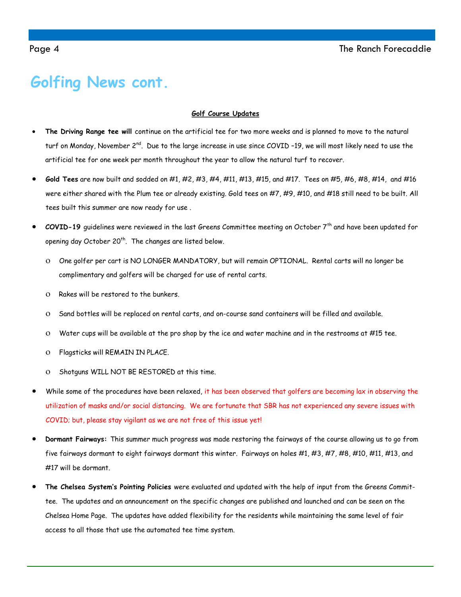### **Golfing News cont.**

#### **Golf Course Updates**

- **The Driving Range tee will** continue on the artificial tee for two more weeks and is planned to move to the natural turf on Monday, November 2<sup>nd</sup>. Due to the large increase in use since COVID -19, we will most likely need to use the artificial tee for one week per month throughout the year to allow the natural turf to recover.
- **Gold Tees** are now built and sodded on #1, #2, #3, #4, #11, #13, #15, and #17. Tees on #5, #6, #8, #14, and #16 were either shared with the Plum tee or already existing. Gold tees on #7, #9, #10, and #18 still need to be built. All tees built this summer are now ready for use .
- **COVID-19** guidelines were reviewed in the last Greens Committee meeting on October 7th and have been updated for opening day October 20<sup>th</sup>. The changes are listed below.
	- One golfer per cart is NO LONGER MANDATORY, but will remain OPTIONAL. Rental carts will no longer be complimentary and golfers will be charged for use of rental carts.
	- O Rakes will be restored to the bunkers.
	- Sand bottles will be replaced on rental carts, and on-course sand containers will be filled and available.
	- Water cups will be available at the pro shop by the ice and water machine and in the restrooms at #15 tee.
	- Flagsticks will REMAIN IN PLACE.
	- O Shotguns WILL NOT BE RESTORED at this time.
- While some of the procedures have been relaxed, it has been observed that golfers are becoming lax in observing the utilization of masks and/or social distancing. We are fortunate that SBR has not experienced any severe issues with COVID; but, please stay vigilant as we are not free of this issue yet!
- **Dormant Fairways:** This summer much progress was made restoring the fairways of the course allowing us to go from five fairways dormant to eight fairways dormant this winter. Fairways on holes #1, #3, #7, #8, #10, #11, #13, and #17 will be dormant.
- **The Chelsea System's Pointing Policies** were evaluated and updated with the help of input from the Greens Committee. The updates and an announcement on the specific changes are published and launched and can be seen on the Chelsea Home Page. The updates have added flexibility for the residents while maintaining the same level of fair access to all those that use the automated tee time system.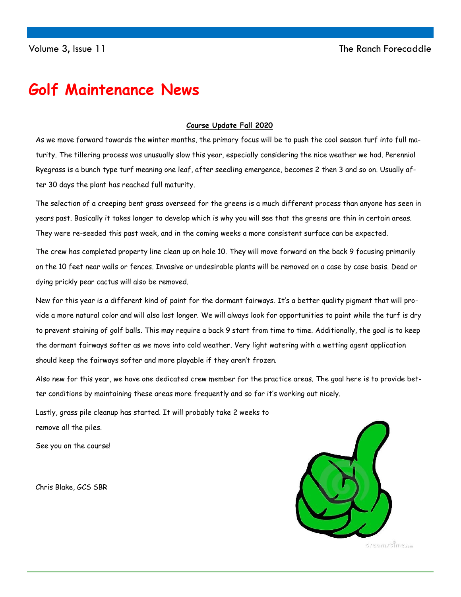### **Golf Maintenance News**

#### **Course Update Fall 2020**

As we move forward towards the winter months, the primary focus will be to push the cool season turf into full maturity. The tillering process was unusually slow this year, especially considering the nice weather we had. Perennial Ryegrass is a bunch type turf meaning one leaf, after seedling emergence, becomes 2 then 3 and so on. Usually after 30 days the plant has reached full maturity.

The selection of a creeping bent grass overseed for the greens is a much different process than anyone has seen in years past. Basically it takes longer to develop which is why you will see that the greens are thin in certain areas. They were re-seeded this past week, and in the coming weeks a more consistent surface can be expected.

The crew has completed property line clean up on hole 10. They will move forward on the back 9 focusing primarily on the 10 feet near walls or fences. Invasive or undesirable plants will be removed on a case by case basis. Dead or dying prickly pear cactus will also be removed.

New for this year is a different kind of paint for the dormant fairways. It's a better quality pigment that will provide a more natural color and will also last longer. We will always look for opportunities to paint while the turf is dry to prevent staining of golf balls. This may require a back 9 start from time to time. Additionally, the goal is to keep the dormant fairways softer as we move into cold weather. Very light watering with a wetting agent application should keep the fairways softer and more playable if they aren't frozen.

Also new for this year, we have one dedicated crew member for the practice areas. The goal here is to provide better conditions by maintaining these areas more frequently and so far it's working out nicely.

Lastly, grass pile cleanup has started. It will probably take 2 weeks to remove all the piles.

See you on the course!

Chris Blake, GCS SBR



dresmirtime.com